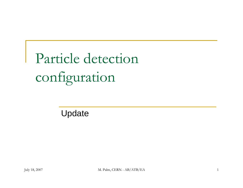Particle detection configuration

Update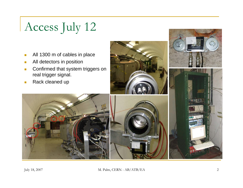# Access July 12

- $\Box$ All 1300 m of cables in place
- $\overline{\mathbb{R}^n}$ All detectors in position
- $\Box$  Confirmed that system triggers on real trigger signal.
- $\Box$ Rack cleaned up



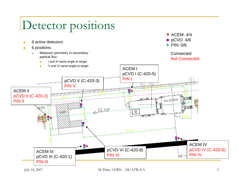## Detector positions

- $\blacksquare$ 8 active detectors
- $\blacksquare$  6 positions
	- $\Box$  Measure symmetry in secondary particle flux:
		- $\mathbf{r}$ I and III same angle to target



**Connected** 

Not Connected

#### V and VI same angle to target $\blacksquare$ ACEM IpCVD I (C-420-5) PIN IpCVD V (C-420-3) PIN VACEM IIpCVD II (C-420-2)  $n \Box 12$ SOLENDIDE PIN IIП **ERA** BEAM  $\circ$ **ACIE** ACEM IV50 pCVD VI (C-420-8) pCVD IV (C-420-6) ACEM IIIPIN IVPIN VIpCVD III (C-420-1) PIN III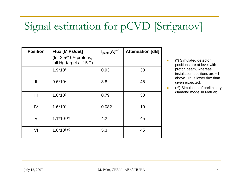### Signal estimation for pCVD [Striganov]

| <b>Position</b> | Flux [MIPs/det]<br>(for $2.5*10^{12}$ protons,<br>full Hg-target at 15 T) | $I_{peak} [A]^{(*)}$ | <b>Attenuation [dB]</b> |
|-----------------|---------------------------------------------------------------------------|----------------------|-------------------------|
|                 | $1.9*107$                                                                 | 0.93                 | 30                      |
| $\mathbf{I}$    | $9.6*107$                                                                 | 3.8                  | 45                      |
| Ш               | $1.6*107$                                                                 | 0.79                 | 30                      |
| IV              | $1.6*106$                                                                 | 0.082                | 10                      |
| V               | $1.1*108(*)$                                                              | 4.2                  | 45                      |
| VI              | $1.6*108$ <sup>(*)</sup>                                                  | 5.3                  | 45                      |

n (\*) Simulated detector positions are at level with proton beam, whereas installation positions are ~1 m above. Thus lower flux than given expected.

 $\overline{\phantom{a}}$  (\*\*) Simulation of preliminary diamond model in MatLab